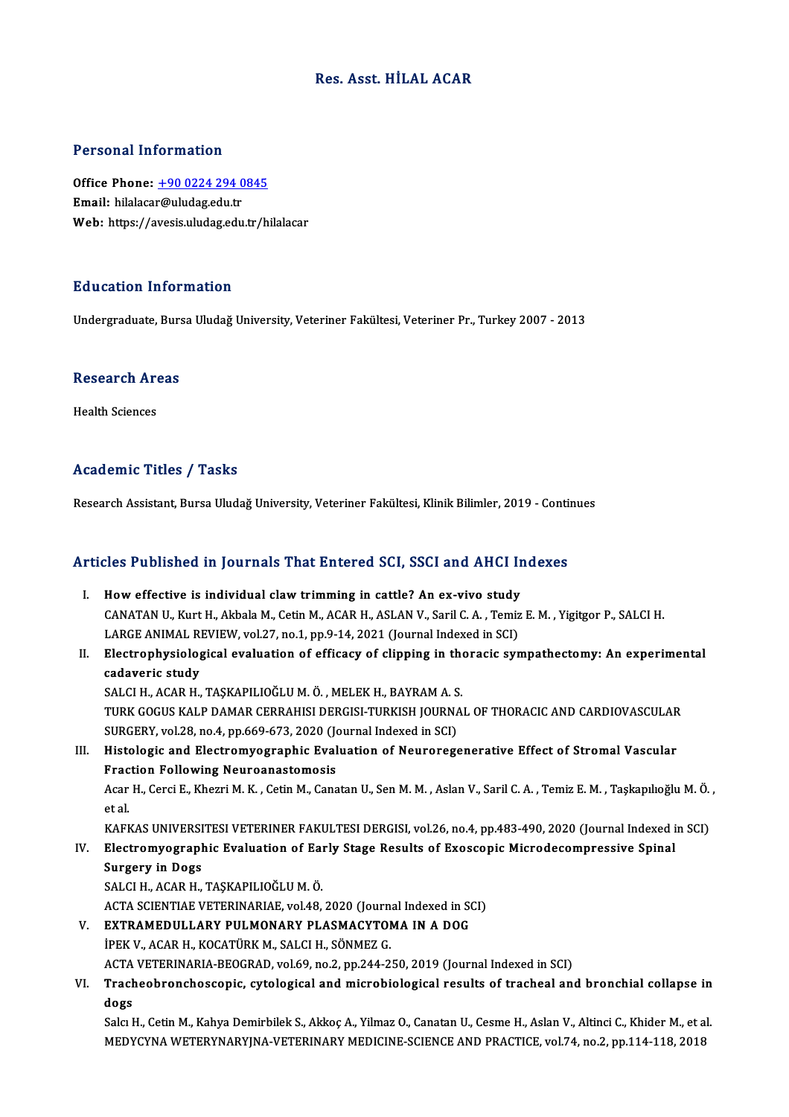#### Res. Asst.HİLAL ACAR

#### Personal Information

Personal Information<br>Office Phone: <u>+90 0224 294 0845</u><br>Email: bilalasar@uludas.edu.tr Procession internation<br>Office Phone: <u>+90 0224 294 0</u><br>Email: hilalaca[r@uludag.edu.tr](tel:+90 0224 294 0845) Email: hilalacar@uludag.edu.tr<br>Web: https://avesis.uludag.edu.tr/hilalacar

#### Education Information

Undergraduate, Bursa Uludağ University, Veteriner Fakültesi, Veteriner Pr., Turkey 2007 - 2013

### ondergraduate, Burs<br>Research Areas R<mark>esearch Ar</mark><br>Health Sciences

### Academic Titles / Tasks

Research Assistant, Bursa Uludağ University, Veteriner Fakültesi, Klinik Bilimler, 2019 - Continues

# Research Assistant, bursa Unuag University, veteriner Fakultest, Klinik Billinler, 2019 - Conti<br>Articles Published in Journals That Entered SCI, SSCI and AHCI Indexes

rticles Published in Journals That Entered SCI, SSCI and AHCI In<br>I. How effective is individual claw trimming in cattle? An ex-vivo study<br>CANATAN IL Kurt H. Althala M. Cotin M. AGAR H. ASLAN V. Saril C. A. Tomiz CANATAN U., Kurt H., Akbala M., Cetin M., ACAR H., ASLAN V., Saril C. A. , Temiz E. M. , Yigitgor P., SALCI H.<br>LARGE ANIMAL REVIEW, vol.27, no.1, pp.9-14, 2021 (Journal Indexed in SCI) I. How effective is individual claw trimming in cattle? An ex-vivo study CANATAN U., Kurt H., Akbala M., Cetin M., ACAR H., ASLAN V., Saril C. A. , Temiz E. M. , Yigitgor P., SALCI H.<br>LARGE ANIMAL REVIEW, vol.27, no.1, pp.9-14, 2021 (Journal Indexed in SCI)<br>II. Electrophysiological evaluation o LARGE ANIMAL RI<br><mark>Electrophysiolog</mark><br>cadaveric study<br>SALCLH ACAR H Electrophysiological evaluation of efficacy of clipping in the<br>cadaveric study<br>SALCI H., ACAR H., TAŞKAPILIOĞLU M. Ö. , MELEK H., BAYRAM A. S.<br>TURK COCUS KALR DAMAR GERRAHISI DERGISI TURKISH JOURNA. cadaveric study<br>SALCI H., ACAR H., TAŞKAPILIOĞLU M. Ö. , MELEK H., BAYRAM A. S.<br>TURK GOGUS KALP DAMAR CERRAHISI DERGISI-TURKISH JOURNAL OF THORACIC AND CARDIOVASCULAR SALCI H., ACAR H., TAŞKAPILIOĞLU M. Ö. , MELEK H., BAYRAM A. S<br>TURK GOGUS KALP DAMAR CERRAHISI DERGISI-TURKISH JOURNA<br>SURGERY, vol.28, no.4, pp.669-673, 2020 (Journal Indexed in SCI)<br>Histologis and Elestromycaronhis Evalua III. Histologic and Electromyographic Evaluation of Neuroregenerative Effect of Stromal Vascular<br>Fraction Following Neuroanastomosis SURGERY, vol.28, no.4, pp.669-673, 2020 (Jonet Substitute Oxendent Contraction Following Neuroanastomosis<br>Fraction Following Neuroanastomosis<br>Agar H. Consi E. Kharri M. K. Cotin M. Cons Histologic and Electromyographic Evaluation of Neuroregenerative Effect of Stromal Vascular<br>Fraction Following Neuroanastomosis<br>Acar H., Cerci E., Khezri M. K. , Cetin M., Canatan U., Sen M. M. , Aslan V., Saril C. A. , Te **Frac**<br>Acar<br>et al<br>KAFI Acar H., Cerci E., Khezri M. K. , Cetin M., Canatan U., Sen M. M. , Aslan V., Saril C. A. , Temiz E. M. , Taşkapılıoğlu M. Ö.<br>et al.<br>KAFKAS UNIVERSITESI VETERINER FAKULTESI DERGISI, vol.26, no.4, pp.483-490, 2020 (Journal et al.<br>IV. KAFKAS UNIVERSITESI VETERINER FAKULTESI DERGISI, vol.26, no.4, pp.483-490, 2020 (Journal Indexed i<br>IV. Electromyographic Evaluation of Early Stage Results of Exoscopic Microdecompressive Spinal<br>Surgery in Dogs KAFKAS UNIVERSI<br>Electromyograph<br>Surgery in Dogs<br>SALCLH ACAB H Electromyographic Evaluation of Ear<br>Surgery in Dogs<br>SALCI H., ACAR H., TAŞKAPILIOĞLU M. Ö.<br>ACTA SCIENTIAE VETERINARIAE vel 49 Surgery in Dogs<br>SALCI H., ACAR H., TAŞKAPILIOĞLU M. Ö.<br>ACTA SCIENTIAE VETERINARIAE, vol.48, 2020 (Journal Indexed in SCI)<br>EYTPAMEDIJI LARY RIJI MONARY RI ASMACYTOMA IN A DOC SALCI H., ACAR H., TAŞKAPILIOĞLU M. Ö.<br>ACTA SCIENTIAE VETERINARIAE, vol.48, 2020 (Journal Indexed in SOS<br>V. EXTRAMEDULLARY PULMONARY PLASMACYTOMA IN A DOG<br>IDEV V. ACAR H. KOCATÜRY M. SALCI H. SÖNMEZ C ACTA SCIENTIAE VETERINARIAE, vol48, 2020 (Journ.<br>**EXTRAMEDULLARY PULMONARY PLASMACYTOI**<br>İPEK V., ACAR H., KOCATÜRK M., SALCI H., SÖNMEZ G.<br>ACTA VETERINARIA PEOCRAD. vol£9, po 2, pp.344, 2 EXTRAMEDULLARY PULMONARY PLASMACYTOMA IN A DOG<br>İPEK V., ACAR H., KOCATÜRK M., SALCI H., SÖNMEZ G.<br>ACTA VETERINARIA-BEOGRAD, vol.69, no.2, pp.244-250, 2019 (Journal Indexed in SCI)<br>Trasheebrensheeseenis, sutelesisel and mis iPEK V., ACAR H., KOCATÜRK M., SALCI H., SÖNMEZ G.<br>ACTA VETERINARIA-BEOGRAD, vol.69, no.2, pp.244-250, 2019 (Journal Indexed in SCI)<br>VI. Tracheobronchoscopic, cytological and microbiological results of tracheal and bro ACTA<br><mark>Trach</mark><br>dogs<br>Selst<sup>1</sup> Tracheobronchoscopic, cytological and microbiological results of tracheal and bronchial collapse in<br>dogs<br>Salcı H., Cetin M., Kahya Demirbilek S., Akkoç A., Yilmaz O., Canatan U., Cesme H., Aslan V., Altinci C., Khider M., dogs<br>Salcı H., Cetin M., Kahya Demirbilek S., Akkoç A., Yilmaz O., Canatan U., Cesme H., Aslan V., Altinci C., Khider M., et a<br>MEDYCYNA WETERYNARYJNA-VETERINARY MEDICINE-SCIENCE AND PRACTICE, vol.74, no.2, pp.114-118, 2018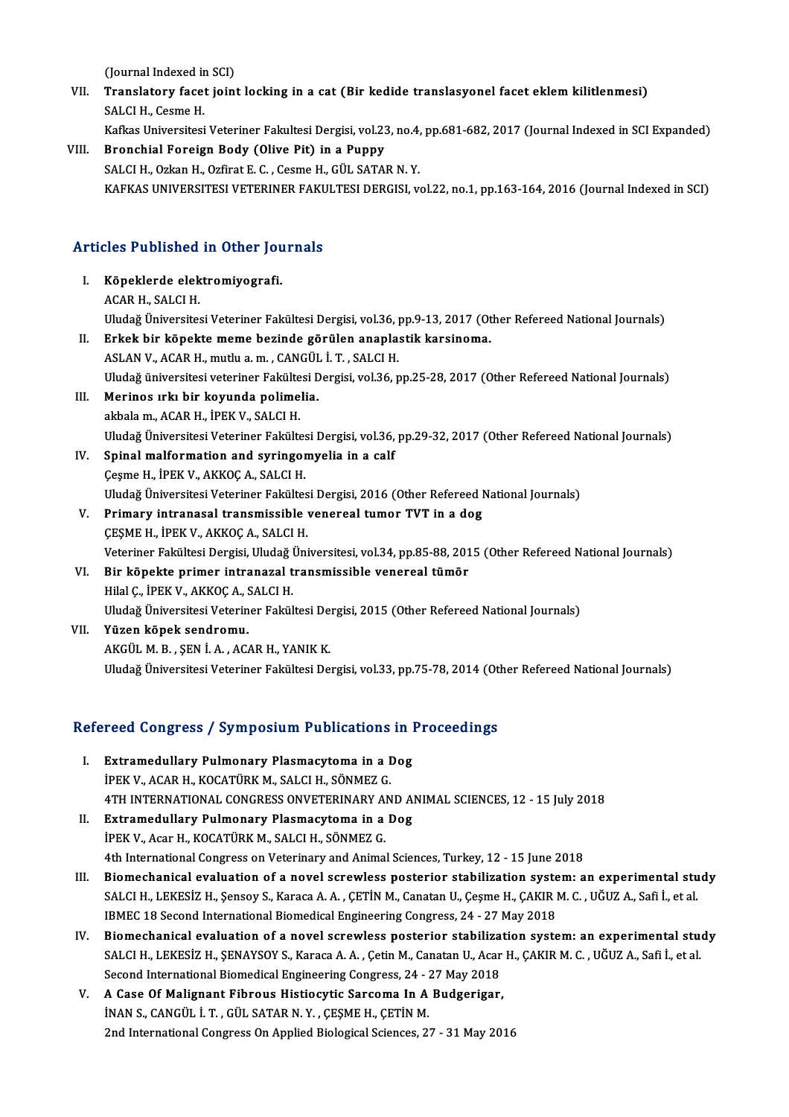(Journal Indexed in SCI)<br>Translatory facet ioini

- VII. Translatory facet joint locking in a cat (Bir kedide translasyonel facet eklem kilitlenmesi)<br>SALCI H. Cesme H. (Journal Indexed in<br>**Translatory facet**<br>SALCI H., Cesme H.<br>*Vefins Universites* 
	- Kafkas Universitesi Veteriner Fakultesi Dergisi, vol.23, no.4, pp.681-682, 2017 (Journal Indexed in SCI Expanded)
- VIII. Bronchial Foreign Body (Olive Pit) in a Puppy SALCI H., Ozkan H., Ozfirat E. C., Cesme H., GÜL SATAR N. Y. KAFKAS UNIVERSITESI VETERINER FAKULTESI DERGISI, vol.22, no.1, pp.163-164, 2016 (Journal Indexed in SCI)

# ARTAAS UNIVERSITESI VETERINER FARL<br>Articles Published in Other Journals

- rticles Published in Other Jou<br>I. Köpeklerde elektromiyografi.<br>AGAB H. SALCLH I. Köpeklerde elektromiyografi.<br>ACAR H., SALCI H. Köpeklerde elektromiyografi.<br>ACAR H., SALCI H.<br>Uludağ Üniversitesi Veteriner Fakültesi Dergisi, vol.36, pp.9-13, 2017 (Other Refereed National Journals)<br>Erkek bir könekte meme beginde görülen enaplestik karsineme II. Erkek bir köpekte meme bezinde görülen anaplastik karsinoma.<br>ASLAN V., ACAR H., mutlu a. m., CANGÜL İ. T., SALCI H. Uludağ Üniversitesi Veteriner Fakültesi Dergisi, vol.36, <sub>]</sub><br>Erkek bir köpekte meme bezinde görülen anapla:<br>ASLAN V., ACAR H., mutlu a. m. , CANGÜL İ. T. , SALCI H.<br>Uludağ üniversitesi veterinen Fakültesi Dergisi vol.26, r Erkek bir köpekte meme bezinde görülen anaplastik karsinoma.<br>ASLAN V., ACAR H., mutlu a. m. , CANGÜL İ. T. , SALCI H.<br>Uludağ üniversitesi veteriner Fakültesi Dergisi, vol.36, pp.25-28, 2017 (Other Refereed National Journal
- III. Merinos ırkı bir koyunda polimelia.<br>akbala m., ACAR H., İPEK V., SALCI H. Uludağ üniversitesi veteriner Fakülte<br>Merinos ırkı bir koyunda polime<br>akbala m., ACAR H., İPEK V., SALCI H.<br>Uludağ Üniversitesi Veterinan Fakülte Merinos ırkı bir koyunda polimelia.<br>akbala m., ACAR H., İPEK V., SALCI H.<br>Uludağ Üniversitesi Veteriner Fakültesi Dergisi, vol.36, pp.29-32, 2017 (Other Refereed National Journals)<br>Spinal malformation and suringomyolia in
- IV. Spinal malformation and syringomyelia in a calf<br>Cesme H., IPEK V., AKKOC A., SALCI H. Uludağ Üniversitesi Veteriner Fakültes<br>Spinal malformation and syringor<br>Çeşme H., İPEK V., AKKOÇ A., SALCI H.<br>Uludağ Üniversitesi Veteriner Fakültes Uludağ Üniversitesi Veteriner Fakültesi Dergisi, 2016 (Other Refereed National Journals) Ceşme H., İPEK V., AKKOÇ A., SALCI H.<br>Uludağ Üniversitesi Veteriner Fakültesi Dergisi, 2016 (Other Refereed I<br>V. Primary intranasal transmissible venereal tumor TVT in a dog<br>CESME H. İDEK V. AKKOÇ A. SALCI H.
- Uludağ Üniversitesi Veteriner Fakültes<br>Primary intranasal transmissible<br>ÇEŞME H., İPEK V., AKKOÇ A., SALCI H.<br>Veteriner Fakültesi Dergisi Uludağ Üni Primary intranasal transmissible venereal tumor TVT in a dog<br>ÇEŞME H., İPEK V., AKKOÇ A., SALCI H.<br>Veteriner Fakültesi Dergisi, Uludağ Üniversitesi, vol.34, pp.85-88, 2015 (Other Refereed National Journals)<br>Pir könekte pri CESME H., İPEK V., AKKOÇ A., SALCI H.<br>Veteriner Fakültesi Dergisi, Uludağ Üniversitesi, vol.34, pp.85-88, 201<br>VI. Bir köpekte primer intranazal transmissible venereal tümör<br>Hilal C., İPEK V., AKKOÇ A., SALCI H.

### Veteriner Fakültesi Dergisi, Uludağ l<br>Bir köpekte primer intranazal t<br>Hilal Ç., İPEK V., AKKOÇ A., SALCI H.<br>Uludağ Üniversitesi Veteriner Fakül Uludağ Üniversitesi Veteriner Fakültesi Dergisi, 2015 (Other Refereed National Journals)

VII. Yüzen köpek sendromu. AKGÜLM.B. ,ŞENİ.A. ,ACARH.,YANIKK. Uludağ Üniversitesi Veteriner Fakültesi Dergisi, vol.33, pp.75-78, 2014 (Other Refereed National Journals)

# oludag oniversitesi veteriner rakuitesi bergisi, vol.33, pp./5-78, 2014 (oti<br>Refereed Congress / Symposium Publications in Proceedings

- efereed Congress / Symposium Publications in 1<br>I. Extramedullary Pulmonary Plasmacytoma in a Dog<br>IDEV V. ACAR H. KOCATÜRY M. SALCLH. SÖNMEZ C I. Extramedullary Pulmonary Plasmacytoma in a Dog<br>İPEK V., ACAR H., KOCATÜRK M., SALCI H., SÖNMEZ G. 4THINTERNATIONAL CONGRESSONVETERINARYANDANIMAL SCIENCES,12 -15 July2018 IPEK V., ACAR H., KOCATÜRK M., SALCI H., SÖNMEZ G.<br>4TH INTERNATIONAL CONGRESS ONVETERINARY AND A<br>II. Extramedullary Pulmonary Plasmacytoma in a Dog<br>iPEK V. Acar H. KOCATÜRK M. SALCI H. SÖNMEZ C
- 4TH INTERNATIONAL CONGRESS ONVETERINARY A<br>Extramedullary Pulmonary Plasmacytoma in a<br>İPEK V., Acar H., KOCATÜRK M., SALCI H., SÖNMEZ G.<br>4th International Congress on Veterinary and Animal iPEK V., Acar H., KOCATÜRK M., SALCI H., SÖNMEZ G.<br>4th International Congress on Veterinary and Animal Sciences, Turkey, 12 - 15 June 2018 IPEK V., Acar H., KOCATÜRK M., SALCI H., SÖNMEZ G.<br>4th International Congress on Veterinary and Animal Sciences, Turkey, 12 - 15 June 2018<br>11. Biomechanical evaluation of a novel screwless posterior stabilization system: a
- 4th International Congress on Veterinary and Animal Sciences, Turkey, 12 15 June 2018<br>Biomechanical evaluation of a novel screwless posterior stabilization system: an experimental stu<br>SALCI H., LEKESİZ H., Şensoy S., Kar Biomechanical evaluation of a novel screwless posterior stabilization syste<br>SALCI H., LEKESİZ H., Şensoy S., Karaca A. A. , ÇETİN M., Canatan U., Çeşme H., ÇAKIR I<br>IBMEC 18 Second International Biomedical Engineering Congr SALCI H., LEKESİZ H., Şensoy S., Karaca A. A., ÇETİN M., Canatan U., Çeşme H., ÇAKIR M. C., UĞUZ A., Safi İ., et al.<br>IBMEC 18 Second International Biomedical Engineering Congress, 24 - 27 May 2018<br>IV. Biomechanical evaluat
- IBMEC 18 Second International Biomedical Engineering Congress, 24 27 May 2018<br>Biomechanical evaluation of a novel screwless posterior stabilization system: an experimental studential stude<br>SALCI H., LEKESİZ H., ŞENAYSOY Biomechanical evaluation of a novel screwless posterior stabiliza<br>SALCI H., LEKESİZ H., ŞENAYSOY S., Karaca A. A. , Çetin M., Canatan U., Acar<br>Second International Biomedical Engineering Congress, 24 - 27 May 2018<br>A Gase O SALCI H., LEKESİZ H., ŞENAYSOY S., Karaca A. A., Çetin M., Canatan U., Acar<br>Second International Biomedical Engineering Congress, 24 - 27 May 2018<br>V. A Case Of Malignant Fibrous Histiocytic Sarcoma In A Budgerigar,<br>INAN S.
- Second International Biomedical Engineering Congress, 24 7<br>**A Case Of Malignant Fibrous Histiocytic Sarcoma In A**<br>İNAN S., CANGÜL İ.T. , GÜL SATAR N.Y. , ÇEŞME H., ÇETİN M.<br>2nd International Congress On Annlied Biologica A Case Of Malignant Fibrous Histiocytic Sarcoma In A Budgerigar,<br>İNAN S., CANGÜL İ. T. , GÜL SATAR N. Y. , ÇEŞME H., ÇETİN M.<br>2nd International Congress On Applied Biological Sciences, 27 - 31 May 2016